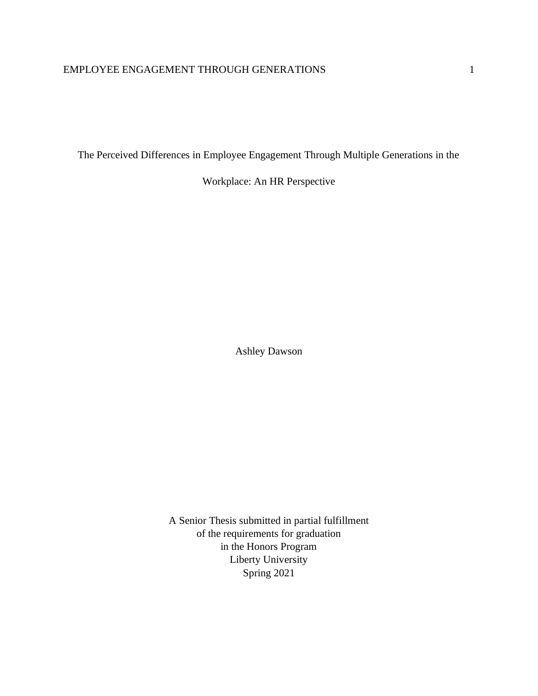The Perceived Differences in Employee Engagement Through Multiple Generations in the

Workplace: An HR Perspective

Ashley Dawson

A Senior Thesis submitted in partial fulfillment of the requirements for graduation in the Honors Program Liberty University Spring 2021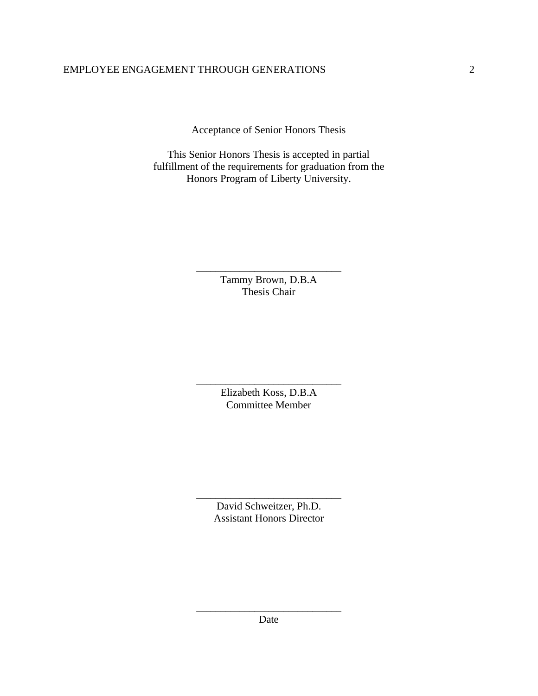Acceptance of Senior Honors Thesis

This Senior Honors Thesis is accepted in partial fulfillment of the requirements for graduation from the Honors Program of Liberty University.

> \_\_\_\_\_\_\_\_\_\_\_\_\_\_\_\_\_\_\_\_\_\_\_\_\_\_\_\_\_\_ Tammy Brown, D.B.A Thesis Chair

> \_\_\_\_\_\_\_\_\_\_\_\_\_\_\_\_\_\_\_\_\_\_\_\_\_\_\_\_\_\_ Elizabeth Koss, D.B.A Committee Member

> \_\_\_\_\_\_\_\_\_\_\_\_\_\_\_\_\_\_\_\_\_\_\_\_\_\_\_\_\_\_ David Schweitzer, Ph.D. Assistant Honors Director

\_\_\_\_\_\_\_\_\_\_\_\_\_\_\_\_\_\_\_\_\_\_\_\_\_\_\_\_\_\_ Date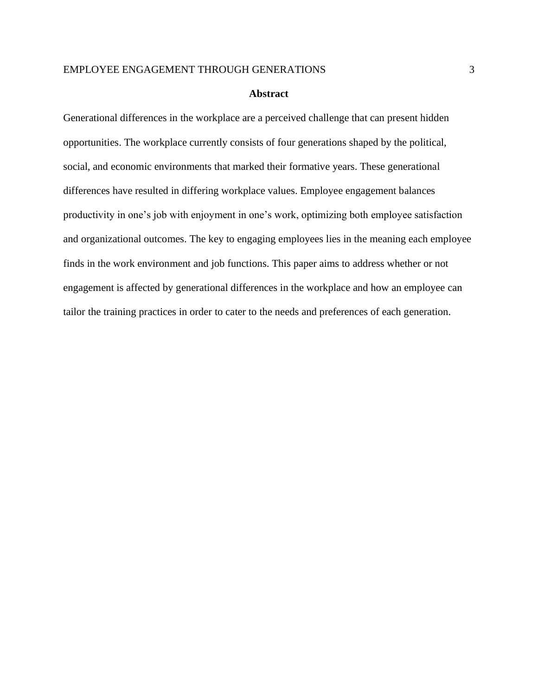#### **Abstract**

Generational differences in the workplace are a perceived challenge that can present hidden opportunities. The workplace currently consists of four generations shaped by the political, social, and economic environments that marked their formative years. These generational differences have resulted in differing workplace values. Employee engagement balances productivity in one's job with enjoyment in one's work, optimizing both employee satisfaction and organizational outcomes. The key to engaging employees lies in the meaning each employee finds in the work environment and job functions. This paper aims to address whether or not engagement is affected by generational differences in the workplace and how an employee can tailor the training practices in order to cater to the needs and preferences of each generation.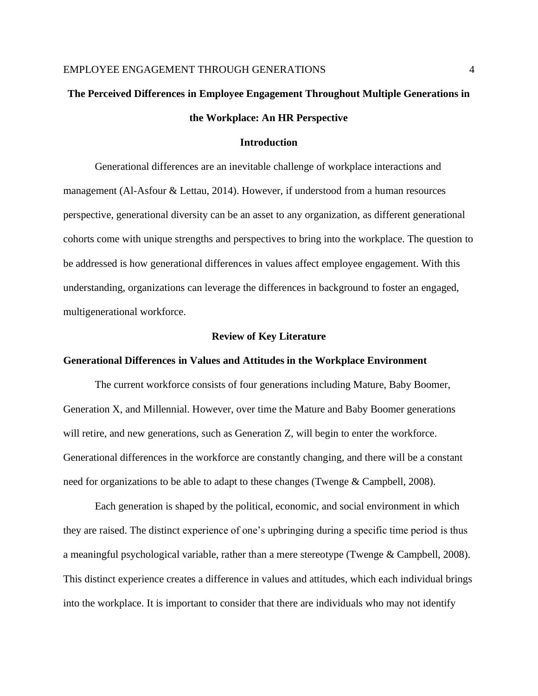# **The Perceived Differences in Employee Engagement Throughout Multiple Generations in the Workplace: An HR Perspective**

## **Introduction**

Generational differences are an inevitable challenge of workplace interactions and management (Al-Asfour & Lettau, 2014). However, if understood from a human resources perspective, generational diversity can be an asset to any organization, as different generational cohorts come with unique strengths and perspectives to bring into the workplace. The question to be addressed is how generational differences in values affect employee engagement. With this understanding, organizations can leverage the differences in background to foster an engaged, multigenerational workforce.

#### **Review of Key Literature**

#### **Generational Differences in Values and Attitudes in the Workplace Environment**

The current workforce consists of four generations including Mature, Baby Boomer, Generation X, and Millennial. However, over time the Mature and Baby Boomer generations will retire, and new generations, such as Generation Z, will begin to enter the workforce. Generational differences in the workforce are constantly changing, and there will be a constant need for organizations to be able to adapt to these changes (Twenge & Campbell, 2008).

Each generation is shaped by the political, economic, and social environment in which they are raised. The distinct experience of one's upbringing during a specific time period is thus a meaningful psychological variable, rather than a mere stereotype (Twenge & Campbell, 2008). This distinct experience creates a difference in values and attitudes, which each individual brings into the workplace. It is important to consider that there are individuals who may not identify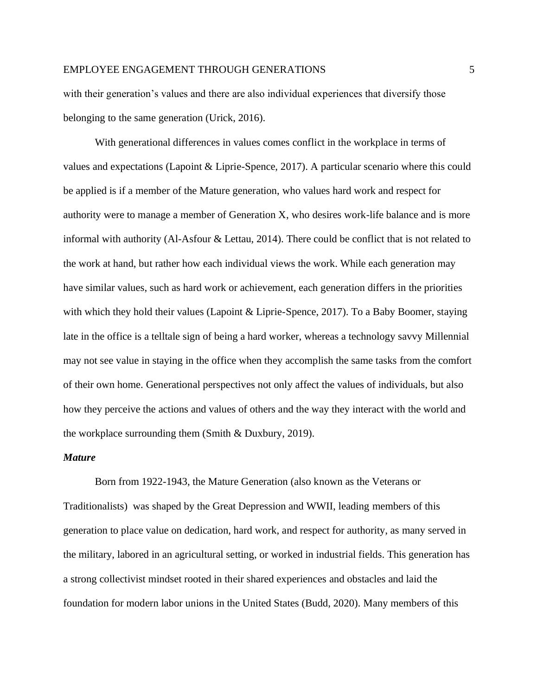with their generation's values and there are also individual experiences that diversify those belonging to the same generation (Urick, 2016).

With generational differences in values comes conflict in the workplace in terms of values and expectations (Lapoint & Liprie-Spence, 2017). A particular scenario where this could be applied is if a member of the Mature generation, who values hard work and respect for authority were to manage a member of Generation X, who desires work-life balance and is more informal with authority (Al-Asfour & Lettau, 2014). There could be conflict that is not related to the work at hand, but rather how each individual views the work. While each generation may have similar values, such as hard work or achievement, each generation differs in the priorities with which they hold their values (Lapoint & Liprie-Spence, 2017). To a Baby Boomer, staying late in the office is a telltale sign of being a hard worker, whereas a technology savvy Millennial may not see value in staying in the office when they accomplish the same tasks from the comfort of their own home. Generational perspectives not only affect the values of individuals, but also how they perceive the actions and values of others and the way they interact with the world and the workplace surrounding them (Smith & Duxbury, 2019).

#### *Mature*

Born from 1922-1943, the Mature Generation (also known as the Veterans or Traditionalists) was shaped by the Great Depression and WWII, leading members of this generation to place value on dedication, hard work, and respect for authority, as many served in the military, labored in an agricultural setting, or worked in industrial fields. This generation has a strong collectivist mindset rooted in their shared experiences and obstacles and laid the foundation for modern labor unions in the United States (Budd, 2020). Many members of this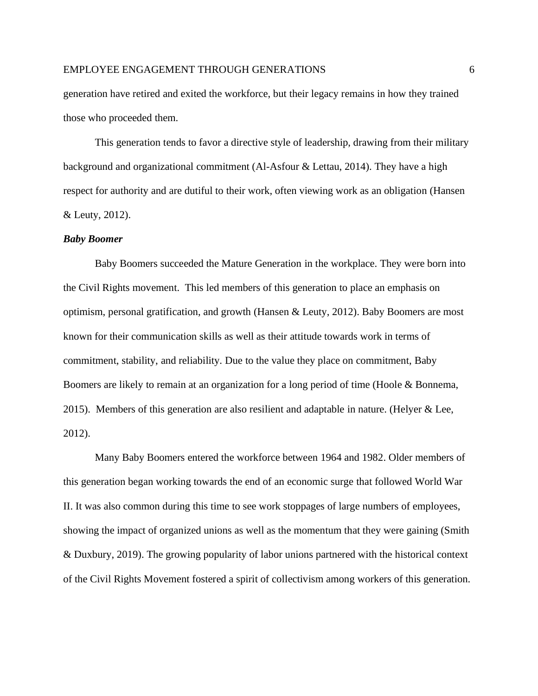generation have retired and exited the workforce, but their legacy remains in how they trained those who proceeded them.

This generation tends to favor a directive style of leadership, drawing from their military background and organizational commitment (Al-Asfour & Lettau, 2014). They have a high respect for authority and are dutiful to their work, often viewing work as an obligation (Hansen & Leuty, 2012).

#### *Baby Boomer*

Baby Boomers succeeded the Mature Generation in the workplace. They were born into the Civil Rights movement. This led members of this generation to place an emphasis on optimism, personal gratification, and growth (Hansen & Leuty, 2012). Baby Boomers are most known for their communication skills as well as their attitude towards work in terms of commitment, stability, and reliability. Due to the value they place on commitment, Baby Boomers are likely to remain at an organization for a long period of time (Hoole & Bonnema, 2015). Members of this generation are also resilient and adaptable in nature. (Helyer  $& Lee$ , 2012).

Many Baby Boomers entered the workforce between 1964 and 1982. Older members of this generation began working towards the end of an economic surge that followed World War II. It was also common during this time to see work stoppages of large numbers of employees, showing the impact of organized unions as well as the momentum that they were gaining (Smith & Duxbury, 2019). The growing popularity of labor unions partnered with the historical context of the Civil Rights Movement fostered a spirit of collectivism among workers of this generation.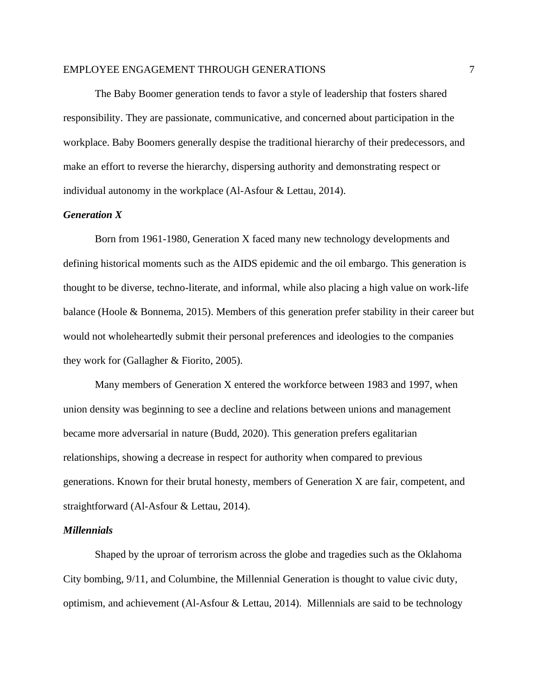The Baby Boomer generation tends to favor a style of leadership that fosters shared responsibility. They are passionate, communicative, and concerned about participation in the workplace. Baby Boomers generally despise the traditional hierarchy of their predecessors, and make an effort to reverse the hierarchy, dispersing authority and demonstrating respect or individual autonomy in the workplace (Al-Asfour & Lettau, 2014).

## *Generation X*

Born from 1961-1980, Generation X faced many new technology developments and defining historical moments such as the AIDS epidemic and the oil embargo. This generation is thought to be diverse, techno-literate, and informal, while also placing a high value on work-life balance (Hoole & Bonnema, 2015). Members of this generation prefer stability in their career but would not wholeheartedly submit their personal preferences and ideologies to the companies they work for (Gallagher & Fiorito, 2005).

Many members of Generation X entered the workforce between 1983 and 1997, when union density was beginning to see a decline and relations between unions and management became more adversarial in nature (Budd, 2020). This generation prefers egalitarian relationships, showing a decrease in respect for authority when compared to previous generations. Known for their brutal honesty, members of Generation X are fair, competent, and straightforward (Al-Asfour & Lettau, 2014).

#### *Millennials*

Shaped by the uproar of terrorism across the globe and tragedies such as the Oklahoma City bombing, 9/11, and Columbine, the Millennial Generation is thought to value civic duty, optimism, and achievement (Al-Asfour & Lettau, 2014). Millennials are said to be technology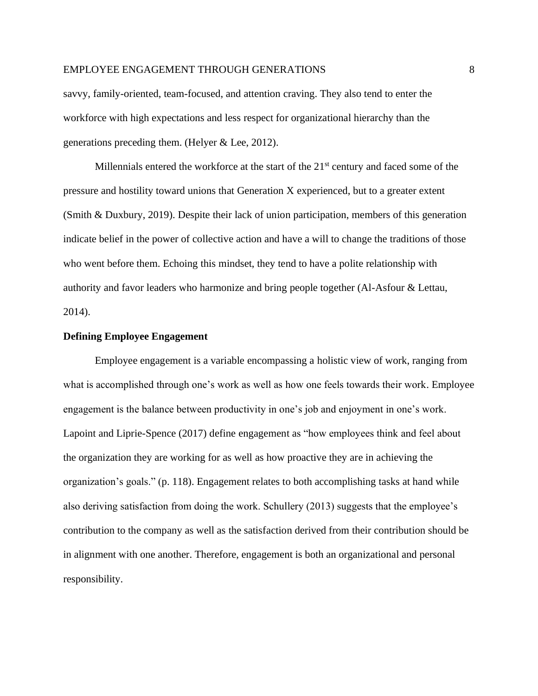savvy, family-oriented, team-focused, and attention craving. They also tend to enter the workforce with high expectations and less respect for organizational hierarchy than the generations preceding them. (Helyer & Lee, 2012).

Millennials entered the workforce at the start of the  $21<sup>st</sup>$  century and faced some of the pressure and hostility toward unions that Generation X experienced, but to a greater extent (Smith & Duxbury, 2019). Despite their lack of union participation, members of this generation indicate belief in the power of collective action and have a will to change the traditions of those who went before them. Echoing this mindset, they tend to have a polite relationship with authority and favor leaders who harmonize and bring people together (Al-Asfour & Lettau, 2014).

#### **Defining Employee Engagement**

Employee engagement is a variable encompassing a holistic view of work, ranging from what is accomplished through one's work as well as how one feels towards their work. Employee engagement is the balance between productivity in one's job and enjoyment in one's work. Lapoint and Liprie-Spence (2017) define engagement as "how employees think and feel about the organization they are working for as well as how proactive they are in achieving the organization's goals." (p. 118). Engagement relates to both accomplishing tasks at hand while also deriving satisfaction from doing the work. Schullery (2013) suggests that the employee's contribution to the company as well as the satisfaction derived from their contribution should be in alignment with one another. Therefore, engagement is both an organizational and personal responsibility.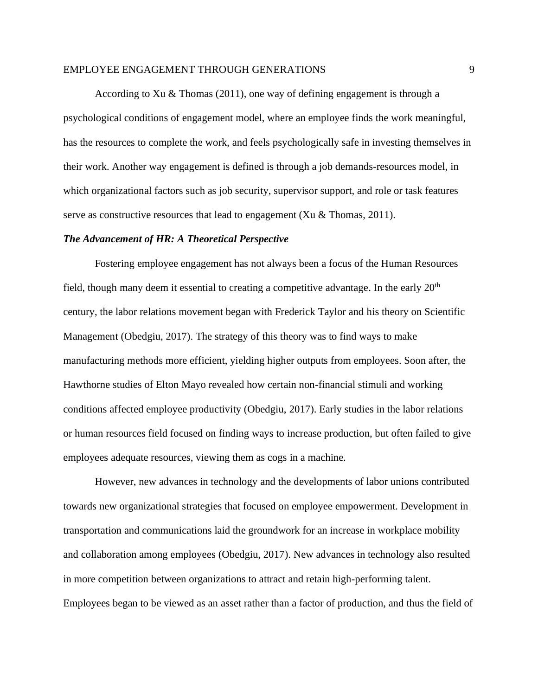According to Xu & Thomas (2011), one way of defining engagement is through a psychological conditions of engagement model, where an employee finds the work meaningful, has the resources to complete the work, and feels psychologically safe in investing themselves in their work. Another way engagement is defined is through a job demands-resources model, in which organizational factors such as job security, supervisor support, and role or task features serve as constructive resources that lead to engagement (Xu & Thomas, 2011).

#### *The Advancement of HR: A Theoretical Perspective*

Fostering employee engagement has not always been a focus of the Human Resources field, though many deem it essential to creating a competitive advantage. In the early  $20<sup>th</sup>$ century, the labor relations movement began with Frederick Taylor and his theory on Scientific Management (Obedgiu, 2017). The strategy of this theory was to find ways to make manufacturing methods more efficient, yielding higher outputs from employees. Soon after, the Hawthorne studies of Elton Mayo revealed how certain non-financial stimuli and working conditions affected employee productivity (Obedgiu, 2017). Early studies in the labor relations or human resources field focused on finding ways to increase production, but often failed to give employees adequate resources, viewing them as cogs in a machine.

However, new advances in technology and the developments of labor unions contributed towards new organizational strategies that focused on employee empowerment. Development in transportation and communications laid the groundwork for an increase in workplace mobility and collaboration among employees (Obedgiu, 2017). New advances in technology also resulted in more competition between organizations to attract and retain high-performing talent. Employees began to be viewed as an asset rather than a factor of production, and thus the field of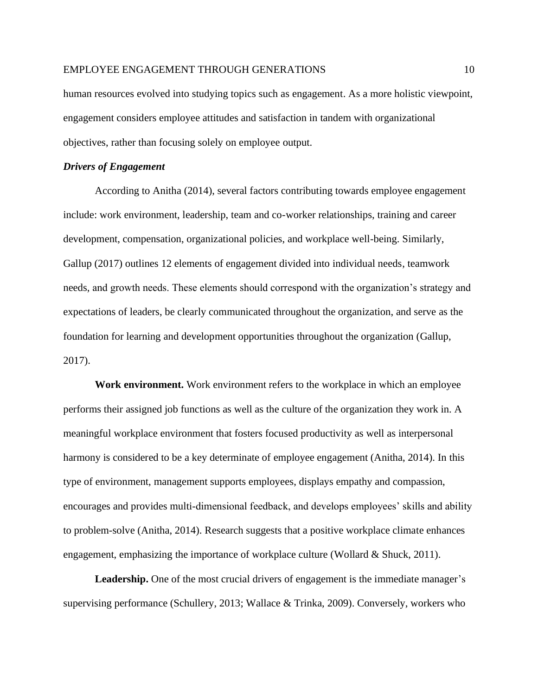human resources evolved into studying topics such as engagement. As a more holistic viewpoint, engagement considers employee attitudes and satisfaction in tandem with organizational objectives, rather than focusing solely on employee output.

## *Drivers of Engagement*

According to Anitha (2014), several factors contributing towards employee engagement include: work environment, leadership, team and co-worker relationships, training and career development, compensation, organizational policies, and workplace well-being. Similarly, Gallup (2017) outlines 12 elements of engagement divided into individual needs, teamwork needs, and growth needs. These elements should correspond with the organization's strategy and expectations of leaders, be clearly communicated throughout the organization, and serve as the foundation for learning and development opportunities throughout the organization (Gallup, 2017).

**Work environment.** Work environment refers to the workplace in which an employee performs their assigned job functions as well as the culture of the organization they work in. A meaningful workplace environment that fosters focused productivity as well as interpersonal harmony is considered to be a key determinate of employee engagement (Anitha, 2014). In this type of environment, management supports employees, displays empathy and compassion, encourages and provides multi-dimensional feedback, and develops employees' skills and ability to problem-solve (Anitha, 2014). Research suggests that a positive workplace climate enhances engagement, emphasizing the importance of workplace culture (Wollard & Shuck, 2011).

Leadership. One of the most crucial drivers of engagement is the immediate manager's supervising performance (Schullery, 2013; Wallace & Trinka, 2009). Conversely, workers who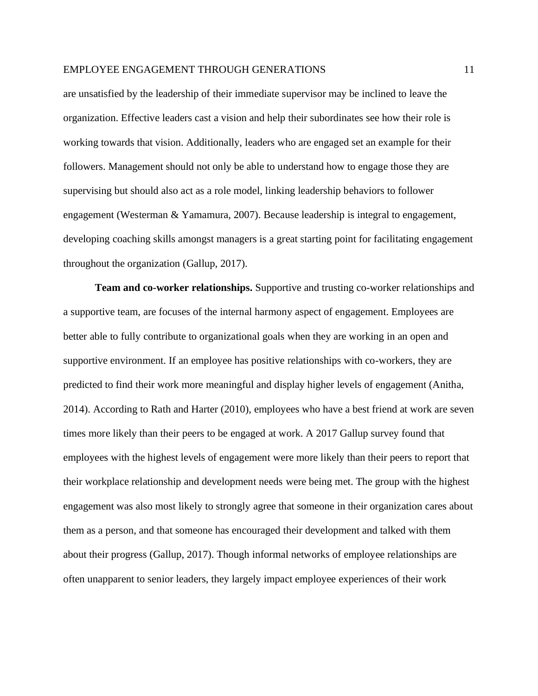are unsatisfied by the leadership of their immediate supervisor may be inclined to leave the organization. Effective leaders cast a vision and help their subordinates see how their role is working towards that vision. Additionally, leaders who are engaged set an example for their followers. Management should not only be able to understand how to engage those they are supervising but should also act as a role model, linking leadership behaviors to follower engagement (Westerman & Yamamura, 2007). Because leadership is integral to engagement, developing coaching skills amongst managers is a great starting point for facilitating engagement throughout the organization (Gallup, 2017).

**Team and co-worker relationships.** Supportive and trusting co-worker relationships and a supportive team, are focuses of the internal harmony aspect of engagement. Employees are better able to fully contribute to organizational goals when they are working in an open and supportive environment. If an employee has positive relationships with co-workers, they are predicted to find their work more meaningful and display higher levels of engagement (Anitha, 2014). According to Rath and Harter (2010), employees who have a best friend at work are seven times more likely than their peers to be engaged at work. A 2017 Gallup survey found that employees with the highest levels of engagement were more likely than their peers to report that their workplace relationship and development needs were being met. The group with the highest engagement was also most likely to strongly agree that someone in their organization cares about them as a person, and that someone has encouraged their development and talked with them about their progress (Gallup, 2017). Though informal networks of employee relationships are often unapparent to senior leaders, they largely impact employee experiences of their work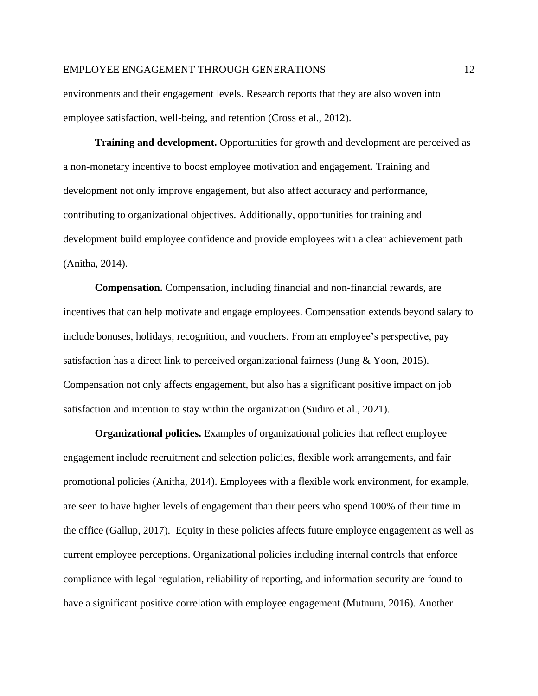environments and their engagement levels. Research reports that they are also woven into employee satisfaction, well-being, and retention (Cross et al., 2012).

**Training and development.** Opportunities for growth and development are perceived as a non-monetary incentive to boost employee motivation and engagement. Training and development not only improve engagement, but also affect accuracy and performance, contributing to organizational objectives. Additionally, opportunities for training and development build employee confidence and provide employees with a clear achievement path (Anitha, 2014).

**Compensation.** Compensation, including financial and non-financial rewards, are incentives that can help motivate and engage employees. Compensation extends beyond salary to include bonuses, holidays, recognition, and vouchers. From an employee's perspective, pay satisfaction has a direct link to perceived organizational fairness (Jung & Yoon, 2015). Compensation not only affects engagement, but also has a significant positive impact on job satisfaction and intention to stay within the organization (Sudiro et al., 2021).

**Organizational policies.** Examples of organizational policies that reflect employee engagement include recruitment and selection policies, flexible work arrangements, and fair promotional policies (Anitha, 2014). Employees with a flexible work environment, for example, are seen to have higher levels of engagement than their peers who spend 100% of their time in the office (Gallup, 2017). Equity in these policies affects future employee engagement as well as current employee perceptions. Organizational policies including internal controls that enforce compliance with legal regulation, reliability of reporting, and information security are found to have a significant positive correlation with employee engagement (Mutnuru, 2016). Another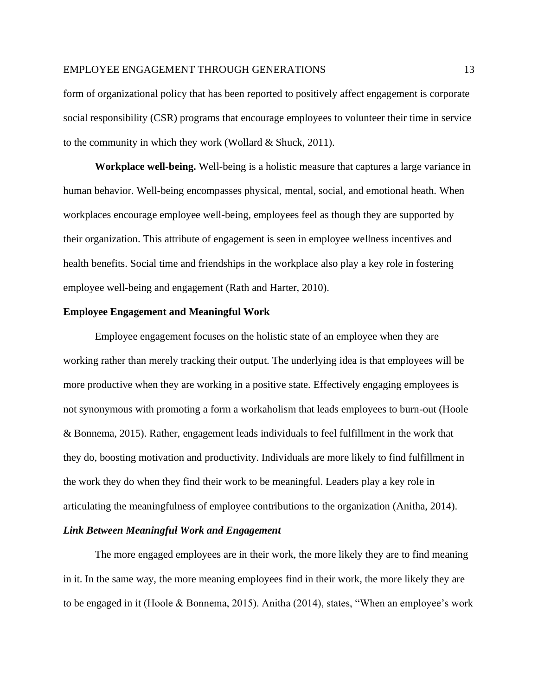form of organizational policy that has been reported to positively affect engagement is corporate social responsibility (CSR) programs that encourage employees to volunteer their time in service to the community in which they work (Wollard & Shuck, 2011).

**Workplace well-being.** Well-being is a holistic measure that captures a large variance in human behavior. Well-being encompasses physical, mental, social, and emotional heath. When workplaces encourage employee well-being, employees feel as though they are supported by their organization. This attribute of engagement is seen in employee wellness incentives and health benefits. Social time and friendships in the workplace also play a key role in fostering employee well-being and engagement (Rath and Harter, 2010).

#### **Employee Engagement and Meaningful Work**

Employee engagement focuses on the holistic state of an employee when they are working rather than merely tracking their output. The underlying idea is that employees will be more productive when they are working in a positive state. Effectively engaging employees is not synonymous with promoting a form a workaholism that leads employees to burn-out (Hoole & Bonnema, 2015). Rather, engagement leads individuals to feel fulfillment in the work that they do, boosting motivation and productivity. Individuals are more likely to find fulfillment in the work they do when they find their work to be meaningful. Leaders play a key role in articulating the meaningfulness of employee contributions to the organization (Anitha, 2014).

## *Link Between Meaningful Work and Engagement*

The more engaged employees are in their work, the more likely they are to find meaning in it. In the same way, the more meaning employees find in their work, the more likely they are to be engaged in it (Hoole & Bonnema, 2015). Anitha (2014), states, "When an employee's work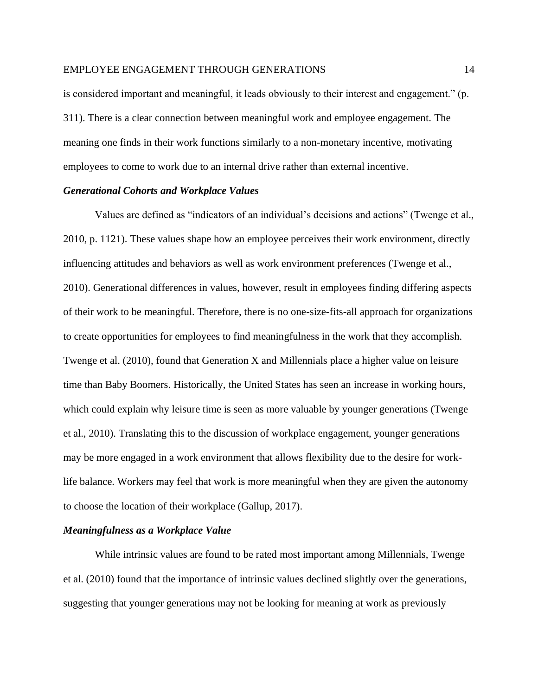is considered important and meaningful, it leads obviously to their interest and engagement." (p. 311). There is a clear connection between meaningful work and employee engagement. The meaning one finds in their work functions similarly to a non-monetary incentive, motivating employees to come to work due to an internal drive rather than external incentive.

#### *Generational Cohorts and Workplace Values*

Values are defined as "indicators of an individual's decisions and actions" (Twenge et al., 2010, p. 1121). These values shape how an employee perceives their work environment, directly influencing attitudes and behaviors as well as work environment preferences (Twenge et al., 2010). Generational differences in values, however, result in employees finding differing aspects of their work to be meaningful. Therefore, there is no one-size-fits-all approach for organizations to create opportunities for employees to find meaningfulness in the work that they accomplish. Twenge et al. (2010), found that Generation X and Millennials place a higher value on leisure time than Baby Boomers. Historically, the United States has seen an increase in working hours, which could explain why leisure time is seen as more valuable by younger generations (Twenge et al., 2010). Translating this to the discussion of workplace engagement, younger generations may be more engaged in a work environment that allows flexibility due to the desire for worklife balance. Workers may feel that work is more meaningful when they are given the autonomy to choose the location of their workplace (Gallup, 2017).

#### *Meaningfulness as a Workplace Value*

While intrinsic values are found to be rated most important among Millennials, Twenge et al. (2010) found that the importance of intrinsic values declined slightly over the generations, suggesting that younger generations may not be looking for meaning at work as previously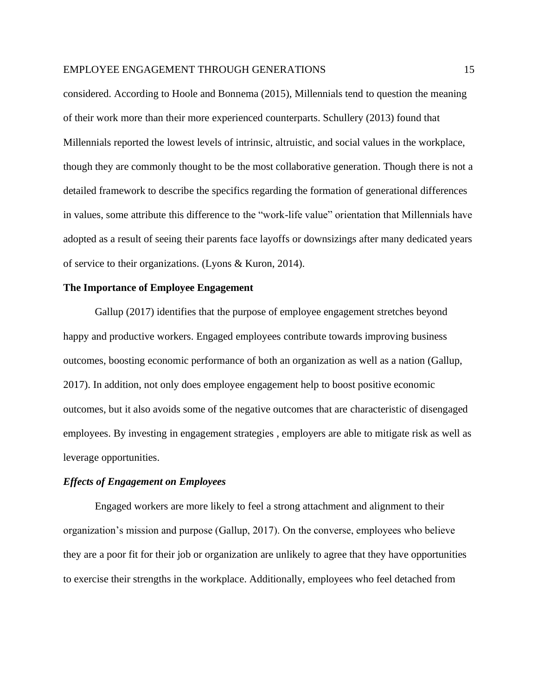considered. According to Hoole and Bonnema (2015), Millennials tend to question the meaning of their work more than their more experienced counterparts. Schullery (2013) found that Millennials reported the lowest levels of intrinsic, altruistic, and social values in the workplace, though they are commonly thought to be the most collaborative generation. Though there is not a detailed framework to describe the specifics regarding the formation of generational differences in values, some attribute this difference to the "work-life value" orientation that Millennials have adopted as a result of seeing their parents face layoffs or downsizings after many dedicated years of service to their organizations. (Lyons & Kuron, 2014).

#### **The Importance of Employee Engagement**

Gallup (2017) identifies that the purpose of employee engagement stretches beyond happy and productive workers. Engaged employees contribute towards improving business outcomes, boosting economic performance of both an organization as well as a nation (Gallup, 2017). In addition, not only does employee engagement help to boost positive economic outcomes, but it also avoids some of the negative outcomes that are characteristic of disengaged employees. By investing in engagement strategies , employers are able to mitigate risk as well as leverage opportunities.

#### *Effects of Engagement on Employees*

Engaged workers are more likely to feel a strong attachment and alignment to their organization's mission and purpose (Gallup, 2017). On the converse, employees who believe they are a poor fit for their job or organization are unlikely to agree that they have opportunities to exercise their strengths in the workplace. Additionally, employees who feel detached from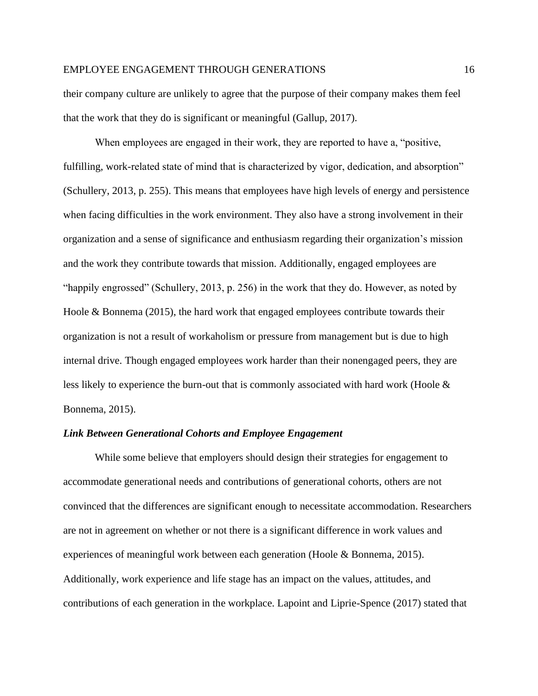their company culture are unlikely to agree that the purpose of their company makes them feel that the work that they do is significant or meaningful (Gallup, 2017).

When employees are engaged in their work, they are reported to have a, "positive, fulfilling, work-related state of mind that is characterized by vigor, dedication, and absorption" (Schullery, 2013, p. 255). This means that employees have high levels of energy and persistence when facing difficulties in the work environment. They also have a strong involvement in their organization and a sense of significance and enthusiasm regarding their organization's mission and the work they contribute towards that mission. Additionally, engaged employees are "happily engrossed" (Schullery, 2013, p. 256) in the work that they do. However, as noted by Hoole & Bonnema (2015), the hard work that engaged employees contribute towards their organization is not a result of workaholism or pressure from management but is due to high internal drive. Though engaged employees work harder than their nonengaged peers, they are less likely to experience the burn-out that is commonly associated with hard work (Hoole & Bonnema, 2015).

#### *Link Between Generational Cohorts and Employee Engagement*

While some believe that employers should design their strategies for engagement to accommodate generational needs and contributions of generational cohorts, others are not convinced that the differences are significant enough to necessitate accommodation. Researchers are not in agreement on whether or not there is a significant difference in work values and experiences of meaningful work between each generation (Hoole & Bonnema, 2015). Additionally, work experience and life stage has an impact on the values, attitudes, and contributions of each generation in the workplace. Lapoint and Liprie-Spence (2017) stated that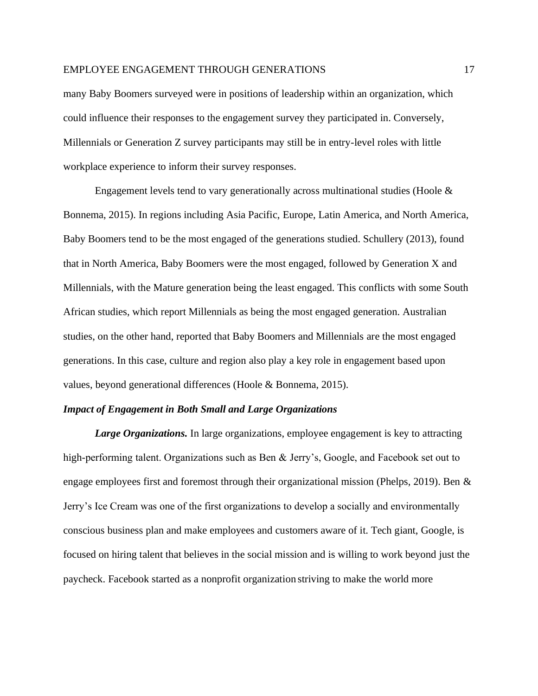many Baby Boomers surveyed were in positions of leadership within an organization, which could influence their responses to the engagement survey they participated in. Conversely, Millennials or Generation Z survey participants may still be in entry-level roles with little workplace experience to inform their survey responses.

Engagement levels tend to vary generationally across multinational studies (Hoole  $\&$ Bonnema, 2015). In regions including Asia Pacific, Europe, Latin America, and North America, Baby Boomers tend to be the most engaged of the generations studied. Schullery (2013), found that in North America, Baby Boomers were the most engaged, followed by Generation X and Millennials, with the Mature generation being the least engaged. This conflicts with some South African studies, which report Millennials as being the most engaged generation. Australian studies, on the other hand, reported that Baby Boomers and Millennials are the most engaged generations. In this case, culture and region also play a key role in engagement based upon values, beyond generational differences (Hoole & Bonnema, 2015).

## *Impact of Engagement in Both Small and Large Organizations*

*Large Organizations.* In large organizations, employee engagement is key to attracting high-performing talent. Organizations such as Ben & Jerry's, Google, and Facebook set out to engage employees first and foremost through their organizational mission (Phelps, 2019). Ben & Jerry's Ice Cream was one of the first organizations to develop a socially and environmentally conscious business plan and make employees and customers aware of it. Tech giant, Google, is focused on hiring talent that believes in the social mission and is willing to work beyond just the paycheck. Facebook started as a nonprofit organization striving to make the world more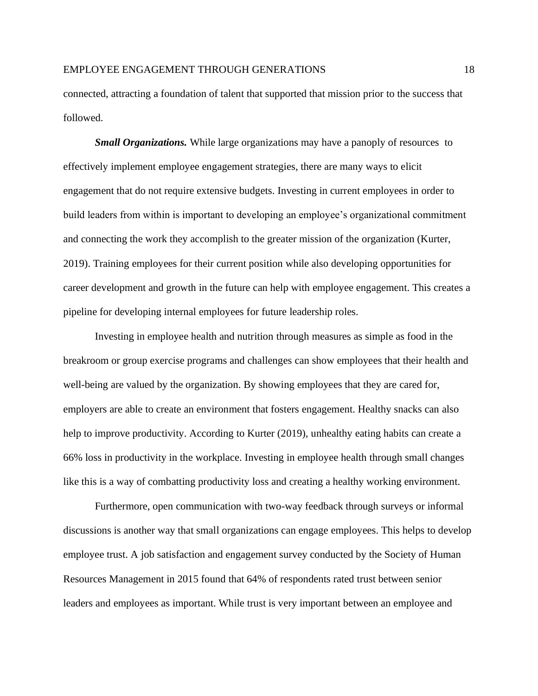connected, attracting a foundation of talent that supported that mission prior to the success that followed.

*Small Organizations.* While large organizations may have a panoply of resources to effectively implement employee engagement strategies, there are many ways to elicit engagement that do not require extensive budgets. Investing in current employees in order to build leaders from within is important to developing an employee's organizational commitment and connecting the work they accomplish to the greater mission of the organization (Kurter, 2019). Training employees for their current position while also developing opportunities for career development and growth in the future can help with employee engagement. This creates a pipeline for developing internal employees for future leadership roles.

Investing in employee health and nutrition through measures as simple as food in the breakroom or group exercise programs and challenges can show employees that their health and well-being are valued by the organization. By showing employees that they are cared for, employers are able to create an environment that fosters engagement. Healthy snacks can also help to improve productivity. According to Kurter (2019), unhealthy eating habits can create a 66% loss in productivity in the workplace. Investing in employee health through small changes like this is a way of combatting productivity loss and creating a healthy working environment.

Furthermore, open communication with two-way feedback through surveys or informal discussions is another way that small organizations can engage employees. This helps to develop employee trust. A job satisfaction and engagement survey conducted by the Society of Human Resources Management in 2015 found that 64% of respondents rated trust between senior leaders and employees as important. While trust is very important between an employee and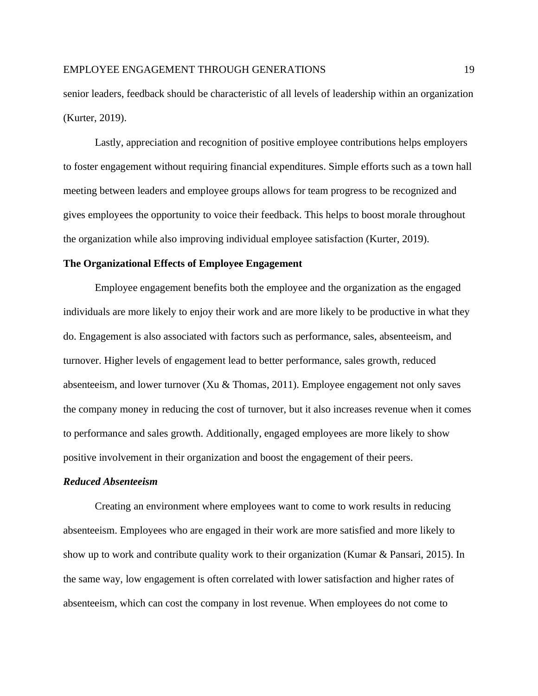senior leaders, feedback should be characteristic of all levels of leadership within an organization (Kurter, 2019).

Lastly, appreciation and recognition of positive employee contributions helps employers to foster engagement without requiring financial expenditures. Simple efforts such as a town hall meeting between leaders and employee groups allows for team progress to be recognized and gives employees the opportunity to voice their feedback. This helps to boost morale throughout the organization while also improving individual employee satisfaction (Kurter, 2019).

#### **The Organizational Effects of Employee Engagement**

Employee engagement benefits both the employee and the organization as the engaged individuals are more likely to enjoy their work and are more likely to be productive in what they do. Engagement is also associated with factors such as performance, sales, absenteeism, and turnover. Higher levels of engagement lead to better performance, sales growth, reduced absenteeism, and lower turnover (Xu & Thomas, 2011). Employee engagement not only saves the company money in reducing the cost of turnover, but it also increases revenue when it comes to performance and sales growth. Additionally, engaged employees are more likely to show positive involvement in their organization and boost the engagement of their peers.

#### *Reduced Absenteeism*

Creating an environment where employees want to come to work results in reducing absenteeism. Employees who are engaged in their work are more satisfied and more likely to show up to work and contribute quality work to their organization (Kumar & Pansari, 2015). In the same way, low engagement is often correlated with lower satisfaction and higher rates of absenteeism, which can cost the company in lost revenue. When employees do not come to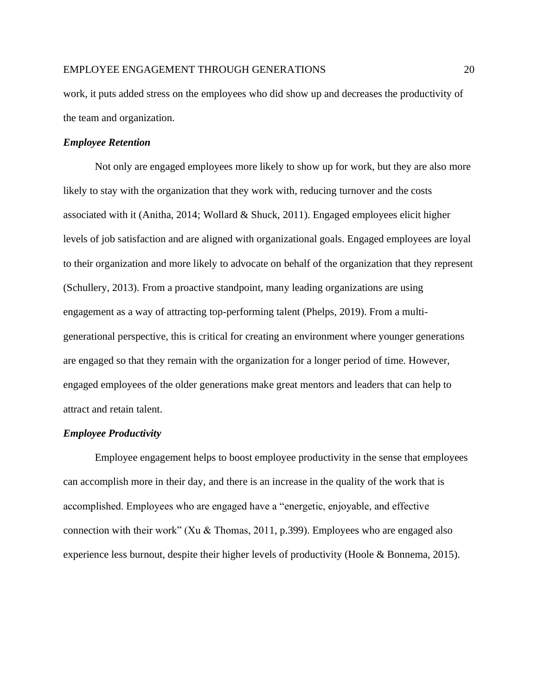work, it puts added stress on the employees who did show up and decreases the productivity of the team and organization.

## *Employee Retention*

Not only are engaged employees more likely to show up for work, but they are also more likely to stay with the organization that they work with, reducing turnover and the costs associated with it (Anitha, 2014; Wollard & Shuck, 2011). Engaged employees elicit higher levels of job satisfaction and are aligned with organizational goals. Engaged employees are loyal to their organization and more likely to advocate on behalf of the organization that they represent (Schullery, 2013). From a proactive standpoint, many leading organizations are using engagement as a way of attracting top-performing talent (Phelps, 2019). From a multigenerational perspective, this is critical for creating an environment where younger generations are engaged so that they remain with the organization for a longer period of time. However, engaged employees of the older generations make great mentors and leaders that can help to attract and retain talent.

## *Employee Productivity*

Employee engagement helps to boost employee productivity in the sense that employees can accomplish more in their day, and there is an increase in the quality of the work that is accomplished. Employees who are engaged have a "energetic, enjoyable, and effective connection with their work" (Xu & Thomas, 2011, p.399). Employees who are engaged also experience less burnout, despite their higher levels of productivity (Hoole & Bonnema, 2015).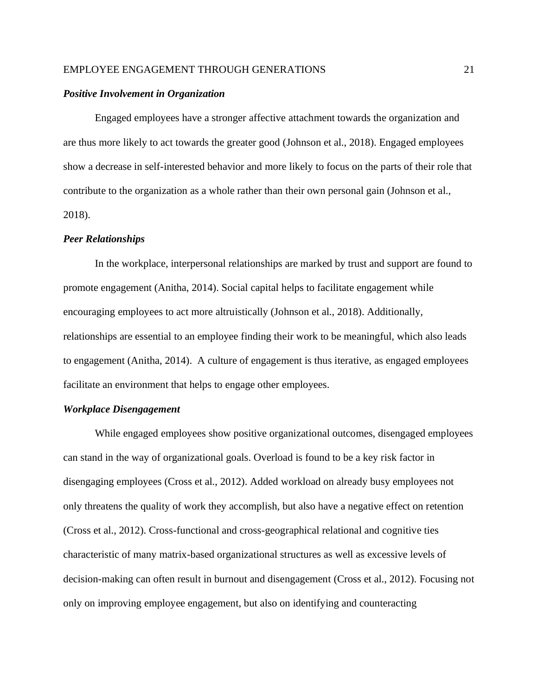#### *Positive Involvement in Organization*

Engaged employees have a stronger affective attachment towards the organization and are thus more likely to act towards the greater good (Johnson et al., 2018). Engaged employees show a decrease in self-interested behavior and more likely to focus on the parts of their role that contribute to the organization as a whole rather than their own personal gain (Johnson et al., 2018).

#### *Peer Relationships*

In the workplace, interpersonal relationships are marked by trust and support are found to promote engagement (Anitha, 2014). Social capital helps to facilitate engagement while encouraging employees to act more altruistically (Johnson et al., 2018). Additionally, relationships are essential to an employee finding their work to be meaningful, which also leads to engagement (Anitha, 2014). A culture of engagement is thus iterative, as engaged employees facilitate an environment that helps to engage other employees.

## *Workplace Disengagement*

While engaged employees show positive organizational outcomes, disengaged employees can stand in the way of organizational goals. Overload is found to be a key risk factor in disengaging employees (Cross et al., 2012). Added workload on already busy employees not only threatens the quality of work they accomplish, but also have a negative effect on retention (Cross et al., 2012). Cross-functional and cross-geographical relational and cognitive ties characteristic of many matrix-based organizational structures as well as excessive levels of decision-making can often result in burnout and disengagement (Cross et al., 2012). Focusing not only on improving employee engagement, but also on identifying and counteracting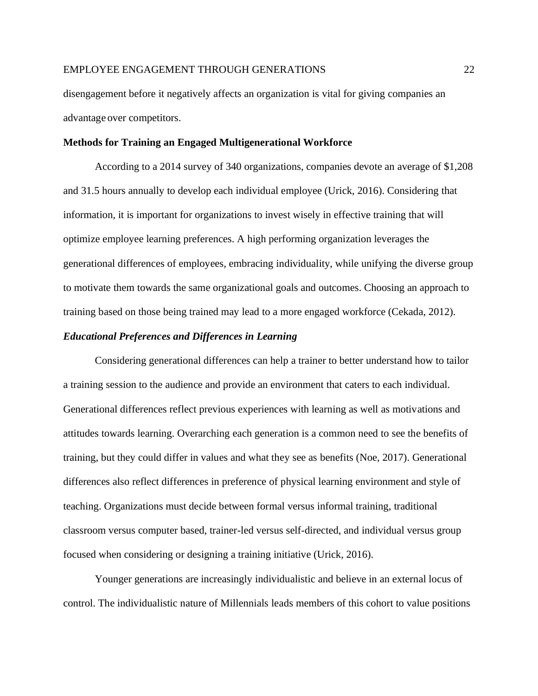disengagement before it negatively affects an organization is vital for giving companies an advantage over competitors.

#### **Methods for Training an Engaged Multigenerational Workforce**

According to a 2014 survey of 340 organizations, companies devote an average of \$1,208 and 31.5 hours annually to develop each individual employee (Urick, 2016). Considering that information, it is important for organizations to invest wisely in effective training that will optimize employee learning preferences. A high performing organization leverages the generational differences of employees, embracing individuality, while unifying the diverse group to motivate them towards the same organizational goals and outcomes. Choosing an approach to training based on those being trained may lead to a more engaged workforce (Cekada, 2012).

#### *Educational Preferences and Differences in Learning*

Considering generational differences can help a trainer to better understand how to tailor a training session to the audience and provide an environment that caters to each individual. Generational differences reflect previous experiences with learning as well as motivations and attitudes towards learning. Overarching each generation is a common need to see the benefits of training, but they could differ in values and what they see as benefits (Noe, 2017). Generational differences also reflect differences in preference of physical learning environment and style of teaching. Organizations must decide between formal versus informal training, traditional classroom versus computer based, trainer-led versus self-directed, and individual versus group focused when considering or designing a training initiative (Urick, 2016).

Younger generations are increasingly individualistic and believe in an external locus of control. The individualistic nature of Millennials leads members of this cohort to value positions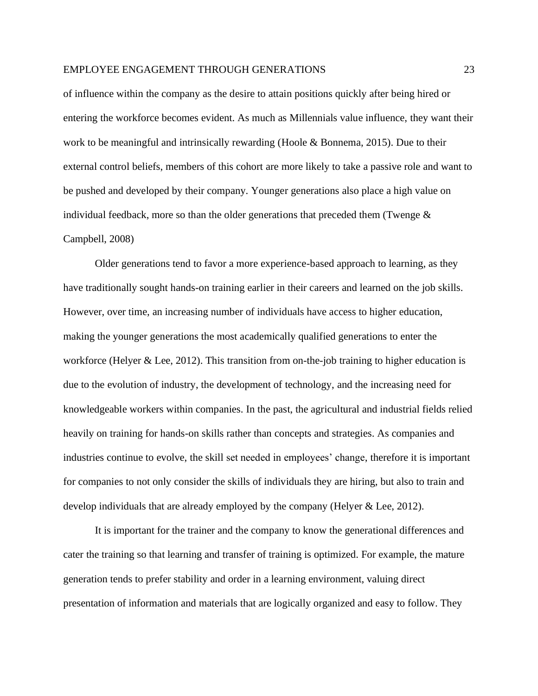of influence within the company as the desire to attain positions quickly after being hired or entering the workforce becomes evident. As much as Millennials value influence, they want their work to be meaningful and intrinsically rewarding (Hoole & Bonnema, 2015). Due to their external control beliefs, members of this cohort are more likely to take a passive role and want to be pushed and developed by their company. Younger generations also place a high value on individual feedback, more so than the older generations that preceded them (Twenge  $\&$ Campbell, 2008)

Older generations tend to favor a more experience-based approach to learning, as they have traditionally sought hands-on training earlier in their careers and learned on the job skills. However, over time, an increasing number of individuals have access to higher education, making the younger generations the most academically qualified generations to enter the workforce (Helyer & Lee, 2012). This transition from on-the-job training to higher education is due to the evolution of industry, the development of technology, and the increasing need for knowledgeable workers within companies. In the past, the agricultural and industrial fields relied heavily on training for hands-on skills rather than concepts and strategies. As companies and industries continue to evolve, the skill set needed in employees' change, therefore it is important for companies to not only consider the skills of individuals they are hiring, but also to train and develop individuals that are already employed by the company (Helyer & Lee, 2012).

It is important for the trainer and the company to know the generational differences and cater the training so that learning and transfer of training is optimized. For example, the mature generation tends to prefer stability and order in a learning environment, valuing direct presentation of information and materials that are logically organized and easy to follow. They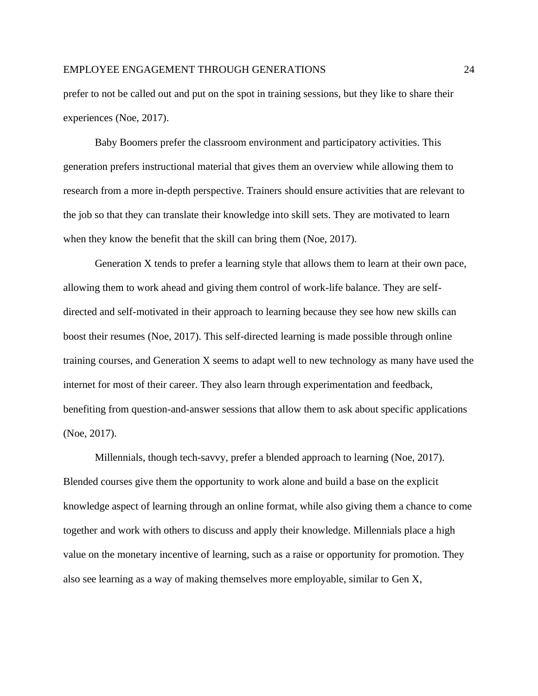prefer to not be called out and put on the spot in training sessions, but they like to share their experiences (Noe, 2017).

Baby Boomers prefer the classroom environment and participatory activities. This generation prefers instructional material that gives them an overview while allowing them to research from a more in-depth perspective. Trainers should ensure activities that are relevant to the job so that they can translate their knowledge into skill sets. They are motivated to learn when they know the benefit that the skill can bring them (Noe, 2017).

Generation X tends to prefer a learning style that allows them to learn at their own pace, allowing them to work ahead and giving them control of work-life balance. They are selfdirected and self-motivated in their approach to learning because they see how new skills can boost their resumes (Noe, 2017). This self-directed learning is made possible through online training courses, and Generation X seems to adapt well to new technology as many have used the internet for most of their career. They also learn through experimentation and feedback, benefiting from question-and-answer sessions that allow them to ask about specific applications (Noe, 2017).

Millennials, though tech-savvy, prefer a blended approach to learning (Noe, 2017). Blended courses give them the opportunity to work alone and build a base on the explicit knowledge aspect of learning through an online format, while also giving them a chance to come together and work with others to discuss and apply their knowledge. Millennials place a high value on the monetary incentive of learning, such as a raise or opportunity for promotion. They also see learning as a way of making themselves more employable, similar to Gen X,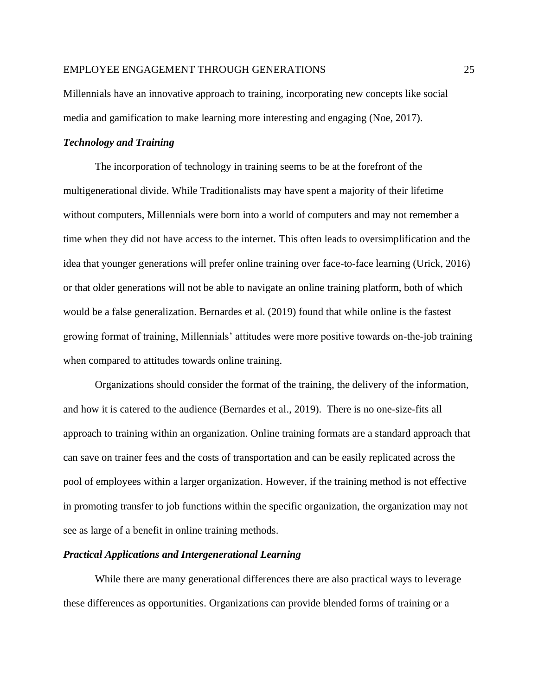Millennials have an innovative approach to training, incorporating new concepts like social media and gamification to make learning more interesting and engaging (Noe, 2017).

#### *Technology and Training*

The incorporation of technology in training seems to be at the forefront of the multigenerational divide. While Traditionalists may have spent a majority of their lifetime without computers, Millennials were born into a world of computers and may not remember a time when they did not have access to the internet. This often leads to oversimplification and the idea that younger generations will prefer online training over face-to-face learning (Urick, 2016) or that older generations will not be able to navigate an online training platform, both of which would be a false generalization. Bernardes et al. (2019) found that while online is the fastest growing format of training, Millennials' attitudes were more positive towards on-the-job training when compared to attitudes towards online training.

Organizations should consider the format of the training, the delivery of the information, and how it is catered to the audience (Bernardes et al., 2019). There is no one-size-fits all approach to training within an organization. Online training formats are a standard approach that can save on trainer fees and the costs of transportation and can be easily replicated across the pool of employees within a larger organization. However, if the training method is not effective in promoting transfer to job functions within the specific organization, the organization may not see as large of a benefit in online training methods.

#### *Practical Applications and Intergenerational Learning*

While there are many generational differences there are also practical ways to leverage these differences as opportunities. Organizations can provide blended forms of training or a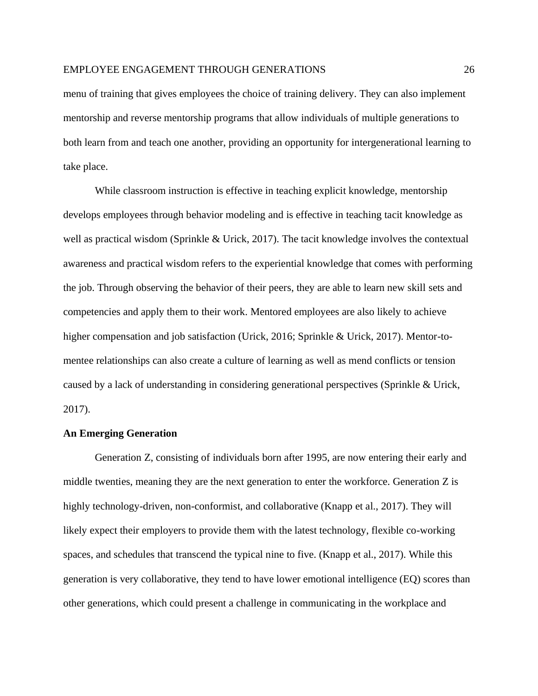menu of training that gives employees the choice of training delivery. They can also implement mentorship and reverse mentorship programs that allow individuals of multiple generations to both learn from and teach one another, providing an opportunity for intergenerational learning to take place.

While classroom instruction is effective in teaching explicit knowledge, mentorship develops employees through behavior modeling and is effective in teaching tacit knowledge as well as practical wisdom (Sprinkle & Urick, 2017). The tacit knowledge involves the contextual awareness and practical wisdom refers to the experiential knowledge that comes with performing the job. Through observing the behavior of their peers, they are able to learn new skill sets and competencies and apply them to their work. Mentored employees are also likely to achieve higher compensation and job satisfaction (Urick, 2016; Sprinkle & Urick, 2017). Mentor-tomentee relationships can also create a culture of learning as well as mend conflicts or tension caused by a lack of understanding in considering generational perspectives (Sprinkle & Urick, 2017).

## **An Emerging Generation**

Generation Z, consisting of individuals born after 1995, are now entering their early and middle twenties, meaning they are the next generation to enter the workforce. Generation Z is highly technology-driven, non-conformist, and collaborative (Knapp et al., 2017). They will likely expect their employers to provide them with the latest technology, flexible co-working spaces, and schedules that transcend the typical nine to five. (Knapp et al., 2017). While this generation is very collaborative, they tend to have lower emotional intelligence (EQ) scores than other generations, which could present a challenge in communicating in the workplace and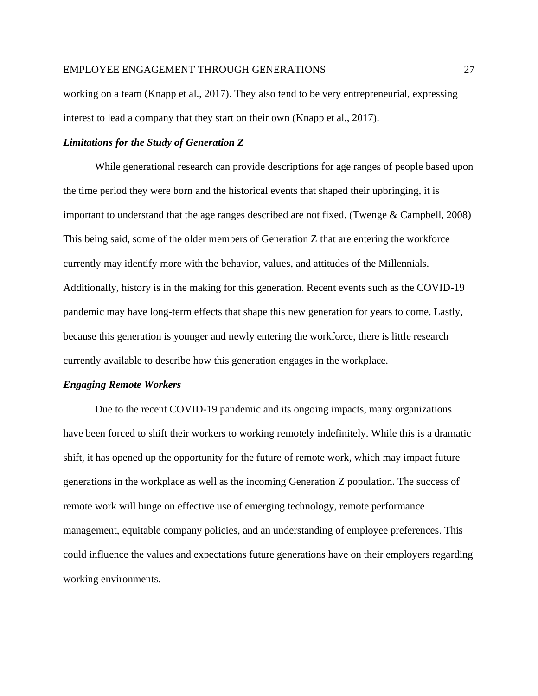working on a team (Knapp et al., 2017). They also tend to be very entrepreneurial, expressing interest to lead a company that they start on their own (Knapp et al., 2017).

#### *Limitations for the Study of Generation Z*

While generational research can provide descriptions for age ranges of people based upon the time period they were born and the historical events that shaped their upbringing, it is important to understand that the age ranges described are not fixed. (Twenge & Campbell, 2008) This being said, some of the older members of Generation Z that are entering the workforce currently may identify more with the behavior, values, and attitudes of the Millennials. Additionally, history is in the making for this generation. Recent events such as the COVID-19 pandemic may have long-term effects that shape this new generation for years to come. Lastly, because this generation is younger and newly entering the workforce, there is little research currently available to describe how this generation engages in the workplace.

#### *Engaging Remote Workers*

Due to the recent COVID-19 pandemic and its ongoing impacts, many organizations have been forced to shift their workers to working remotely indefinitely. While this is a dramatic shift, it has opened up the opportunity for the future of remote work, which may impact future generations in the workplace as well as the incoming Generation Z population. The success of remote work will hinge on effective use of emerging technology, remote performance management, equitable company policies, and an understanding of employee preferences. This could influence the values and expectations future generations have on their employers regarding working environments.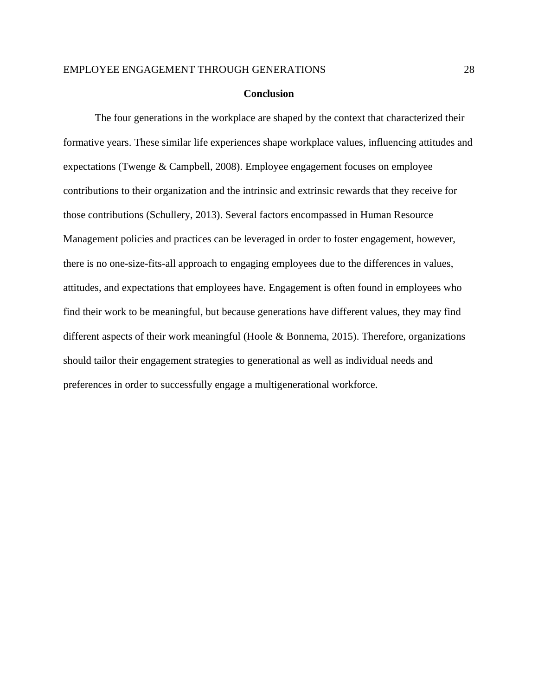#### **Conclusion**

The four generations in the workplace are shaped by the context that characterized their formative years. These similar life experiences shape workplace values, influencing attitudes and expectations (Twenge & Campbell, 2008). Employee engagement focuses on employee contributions to their organization and the intrinsic and extrinsic rewards that they receive for those contributions (Schullery, 2013). Several factors encompassed in Human Resource Management policies and practices can be leveraged in order to foster engagement, however, there is no one-size-fits-all approach to engaging employees due to the differences in values, attitudes, and expectations that employees have. Engagement is often found in employees who find their work to be meaningful, but because generations have different values, they may find different aspects of their work meaningful (Hoole & Bonnema, 2015). Therefore, organizations should tailor their engagement strategies to generational as well as individual needs and preferences in order to successfully engage a multigenerational workforce.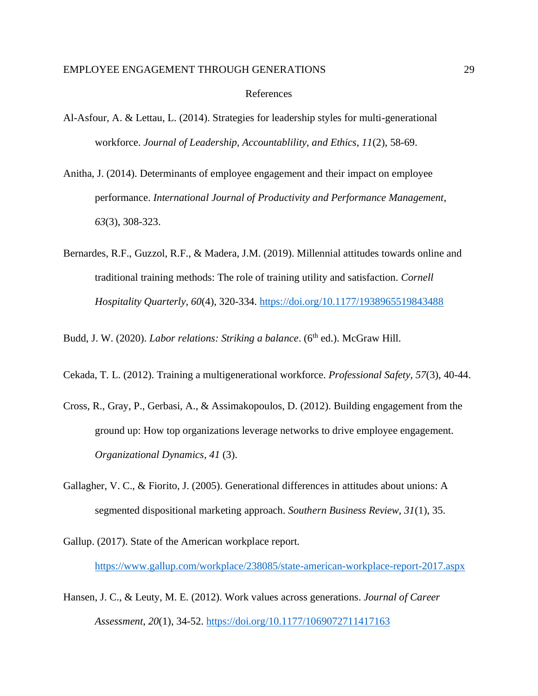#### References

- Al-Asfour, A. & Lettau, L. (2014). Strategies for leadership styles for multi-generational workforce. *Journal of Leadership, Accountablility, and Ethics, 11*(2), 58-69.
- Anitha, J. (2014). Determinants of employee engagement and their impact on employee performance. *International Journal of Productivity and Performance Management*, *63*(3), 308-323.
- Bernardes, R.F., Guzzol, R.F., & Madera, J.M. (2019). Millennial attitudes towards online and traditional training methods: The role of training utility and satisfaction. *Cornell Hospitality Quarterly, 60*(4), 320-334.<https://doi.org/10.1177/1938965519843488>

Budd, J. W. (2020). *Labor relations: Striking a balance*. (6<sup>th</sup> ed.). McGraw Hill.

- Cekada, T. L. (2012). Training a multigenerational workforce. *Professional Safety, 57*(3), 40-44.
- Cross, R., Gray, P., Gerbasi, A., & Assimakopoulos, D. (2012). Building engagement from the ground up: How top organizations leverage networks to drive employee engagement. *Organizational Dynamics*, *41* (3).
- Gallagher, V. C., & Fiorito, J. (2005). Generational differences in attitudes about unions: A segmented dispositional marketing approach. *Southern Business Review, 31*(1), 35.
- Gallup. (2017). State of the American workplace report. <https://www.gallup.com/workplace/238085/state-american-workplace-report-2017.aspx>
- Hansen, J. C., & Leuty, M. E. (2012). Work values across generations. *Journal of Career Assessment*, *20*(1), 34-52.<https://doi.org/10.1177/1069072711417163>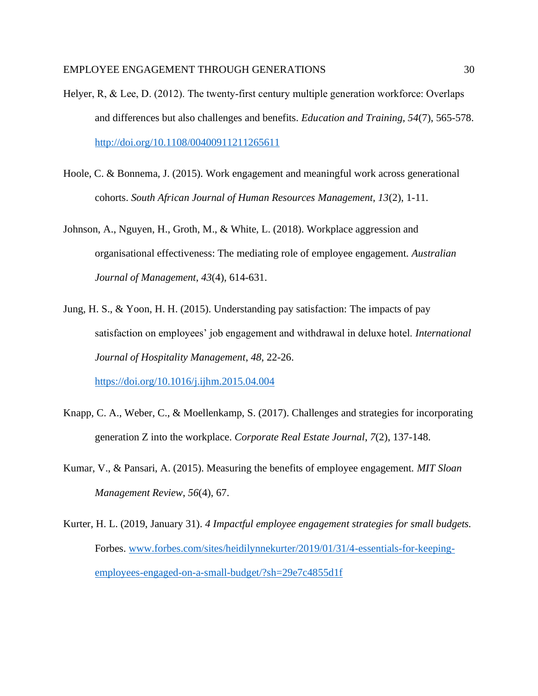- Helyer, R, & Lee, D. (2012). The twenty-first century multiple generation workforce: Overlaps and differences but also challenges and benefits. *Education and Training, 54*(7), 565-578. <http://doi.org/10.1108/00400911211265611>
- Hoole, C. & Bonnema, J. (2015). Work engagement and meaningful work across generational cohorts. *South African Journal of Human Resources Management, 13*(2), 1-11.
- Johnson, A., Nguyen, H., Groth, M., & White, L. (2018). Workplace aggression and organisational effectiveness: The mediating role of employee engagement. *Australian Journal of Management*, *43*(4), 614-631.
- Jung, H. S., & Yoon, H. H. (2015). Understanding pay satisfaction: The impacts of pay satisfaction on employees' job engagement and withdrawal in deluxe hotel. *International Journal of Hospitality Management*, *48*, 22-26. <https://doi.org/10.1016/j.ijhm.2015.04.004>
- Knapp, C. A., Weber, C., & Moellenkamp, S. (2017). Challenges and strategies for incorporating generation Z into the workplace. *Corporate Real Estate Journal*, *7*(2), 137-148.
- Kumar, V., & Pansari, A. (2015). Measuring the benefits of employee engagement. *MIT Sloan Management Review*, *56*(4), 67.
- Kurter, H. L. (2019, January 31). *4 Impactful employee engagement strategies for small budgets.* Forbes. [www.forbes.com/sites/heidilynnekurter/2019/01/31/4-essentials-for-keeping](http://www.forbes.com/sites/heidilynnekurter/2019/01/31/4-essentials-for-keeping-employees-engaged-on-a-small-budget/?sh=29e7c4855d1f)[employees-engaged-on-a-small-budget/?sh=29e7c4855d1f](http://www.forbes.com/sites/heidilynnekurter/2019/01/31/4-essentials-for-keeping-employees-engaged-on-a-small-budget/?sh=29e7c4855d1f)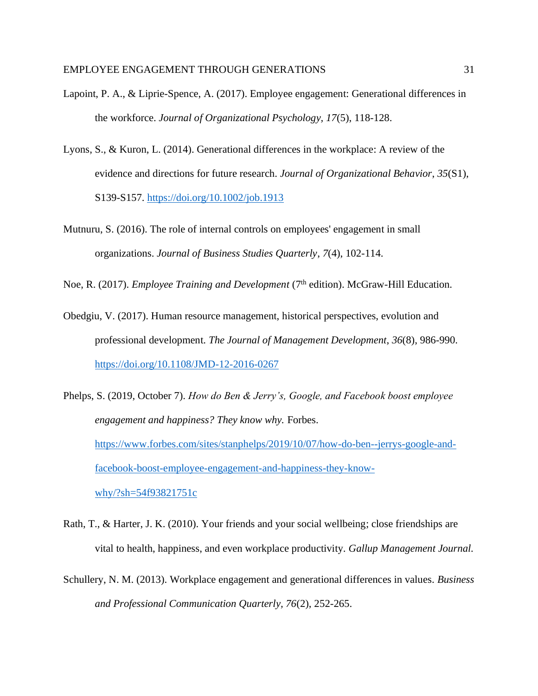- Lapoint, P. A., & Liprie-Spence, A. (2017). Employee engagement: Generational differences in the workforce. *Journal of Organizational Psychology, 17*(5), 118-128.
- Lyons, S., & Kuron, L. (2014). Generational differences in the workplace: A review of the evidence and directions for future research. *Journal of Organizational Behavior*, *35*(S1), S139-S157.<https://doi.org/10.1002/job.1913>
- Mutnuru, S. (2016). The role of internal controls on employees' engagement in small organizations. *Journal of Business Studies Quarterly*, *7*(4), 102-114.

Noe, R. (2017). *Employee Training and Development* (7th edition). McGraw-Hill Education.

- Obedgiu, V. (2017). Human resource management, historical perspectives, evolution and professional development. *The Journal of Management Development*, *36*(8), 986-990. <https://doi.org/10.1108/JMD-12-2016-0267>
- Phelps, S. (2019, October 7). *How do Ben & Jerry's, Google, and Facebook boost employee engagement and happiness? They know why.* Forbes. [https://www.forbes.com/sites/stanphelps/2019/10/07/how-do-ben--jerrys-google-and](https://www.forbes.com/sites/stanphelps/2019/10/07/how-do-ben--jerrys-google-and-facebook-boost-employee-engagement-and-happiness-they-know-why/?sh=54f93821751c)[facebook-boost-employee-engagement-and-happiness-they-know](https://www.forbes.com/sites/stanphelps/2019/10/07/how-do-ben--jerrys-google-and-facebook-boost-employee-engagement-and-happiness-they-know-why/?sh=54f93821751c)[why/?sh=54f93821751c](https://www.forbes.com/sites/stanphelps/2019/10/07/how-do-ben--jerrys-google-and-facebook-boost-employee-engagement-and-happiness-they-know-why/?sh=54f93821751c)
- Rath, T., & Harter, J. K. (2010). Your friends and your social wellbeing; close friendships are vital to health, happiness, and even workplace productivity. *Gallup Management Journal.*
- Schullery, N. M. (2013). Workplace engagement and generational differences in values. *Business and Professional Communication Quarterly, 76*(2), 252-265.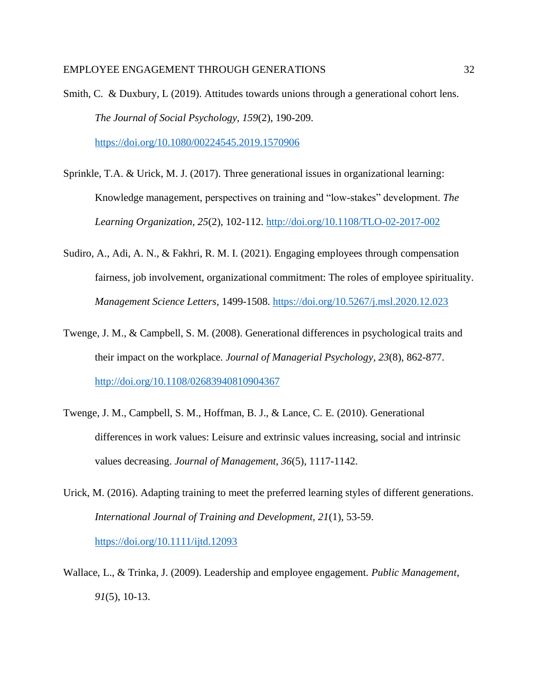Smith, C. & Duxbury, L (2019). Attitudes towards unions through a generational cohort lens. *The Journal of Social Psychology, 159*(2), 190-209. <https://doi.org/10.1080/00224545.2019.1570906>

Sprinkle, T.A. & Urick, M. J. (2017). Three generational issues in organizational learning: Knowledge management, perspectives on training and "low-stakes" development. *The Learning Organization, 25*(2), 102-112.<http://doi.org/10.1108/TLO-02-2017-002>

- Sudiro, A., Adi, A. N., & Fakhri, R. M. I. (2021). Engaging employees through compensation fairness, job involvement, organizational commitment: The roles of employee spirituality. *Management Science Letters,* 1499-1508.<https://doi.org/10.5267/j.msl.2020.12.023>
- Twenge, J. M., & Campbell, S. M. (2008). Generational differences in psychological traits and their impact on the workplace*. Journal of Managerial Psychology, 23*(8), 862-877. <http://doi.org/10.1108/02683940810904367>
- Twenge, J. M., Campbell, S. M., Hoffman, B. J., & Lance, C. E. (2010). Generational differences in work values: Leisure and extrinsic values increasing, social and intrinsic values decreasing. *Journal of Management, 36*(5), 1117-1142.
- Urick, M. (2016). Adapting training to meet the preferred learning styles of different generations. *International Journal of Training and Development, 21*(1), 53-59. <https://doi.org/10.1111/ijtd.12093>
- Wallace, L., & Trinka, J. (2009). Leadership and employee engagement. *Public Management*, *91*(5), 10-13.